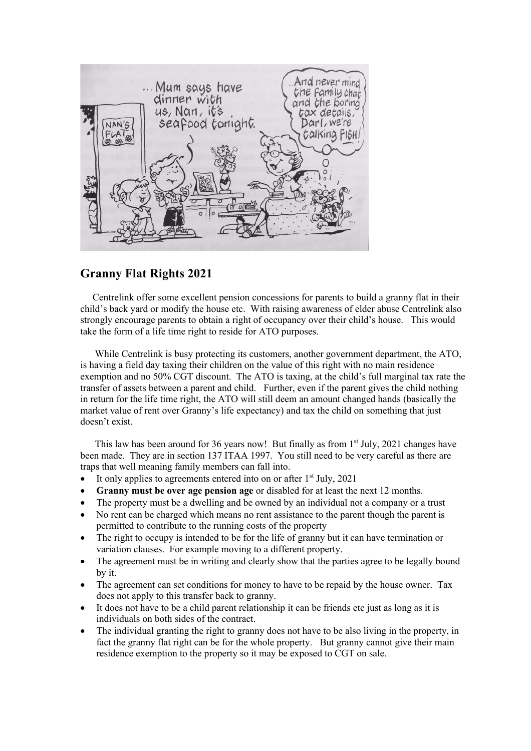

## **Granny Flat Rights 2021**

 Centrelink offer some excellent pension concessions for parents to build a granny flat in their child's back yard or modify the house etc. With raising awareness of elder abuse Centrelink also strongly encourage parents to obtain a right of occupancy over their child's house. This would take the form of a life time right to reside for ATO purposes.

 While Centrelink is busy protecting its customers, another government department, the ATO, is having a field day taxing their children on the value of this right with no main residence exemption and no 50% CGT discount. The ATO is taxing, at the child's full marginal tax rate the transfer of assets between a parent and child. Further, even if the parent gives the child nothing in return for the life time right, the ATO will still deem an amount changed hands (basically the market value of rent over Granny's life expectancy) and tax the child on something that just doesn't exist.

This law has been around for 36 years now! But finally as from  $1<sup>st</sup>$  July, 2021 changes have been made. They are in section 137 ITAA 1997. You still need to be very careful as there are traps that well meaning family members can fall into.

- It only applies to agreements entered into on or after  $1<sup>st</sup>$  July, 2021
- **Granny must be over age pension age** or disabled for at least the next 12 months.
- The property must be a dwelling and be owned by an individual not a company or a trust
- No rent can be charged which means no rent assistance to the parent though the parent is permitted to contribute to the running costs of the property
- The right to occupy is intended to be for the life of granny but it can have termination or variation clauses. For example moving to a different property.
- The agreement must be in writing and clearly show that the parties agree to be legally bound by it.
- The agreement can set conditions for money to have to be repaid by the house owner. Tax does not apply to this transfer back to granny.
- It does not have to be a child parent relationship it can be friends etc just as long as it is individuals on both sides of the contract.
- The individual granting the right to granny does not have to be also living in the property, in fact the granny flat right can be for the whole property. But granny cannot give their main residence exemption to the property so it may be exposed to CGT on sale.